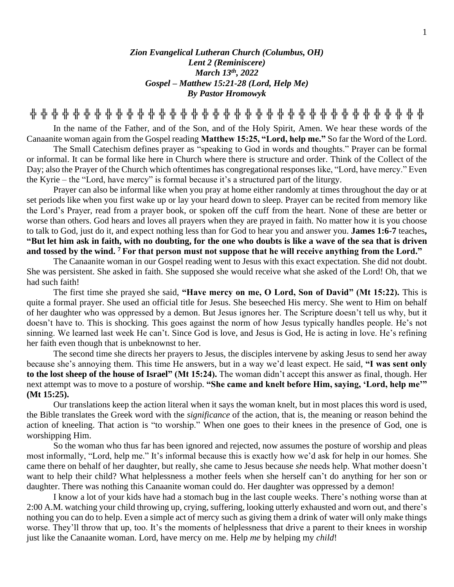*Zion Evangelical Lutheran Church (Columbus, OH) Lent 2 (Reminiscere) March 13th , 2022 Gospel – Matthew 15:21-28 (Lord, Help Me) By Pastor Hromowyk*

**╬ ╬ ╬ ╬ ╬ ╬ ╬ ╬ ╬ ╬ ╬ ╬ ╬ ╬ ╬ ╬ ╬ ╬ ╬ ╬ ╬ ╬ ╬ ╬ ╬ ╬ ╬ ╬ ╬ ╬ ╬ ╬ ╬ ╬ ╬ ╬ ╬**

In the name of the Father, and of the Son, and of the Holy Spirit, Amen. We hear these words of the Canaanite woman again from the Gospel reading **Matthew 15:25, "Lord, help me."** So far the Word of the Lord.

The Small Catechism defines prayer as "speaking to God in words and thoughts." Prayer can be formal or informal. It can be formal like here in Church where there is structure and order. Think of the Collect of the Day; also the Prayer of the Church which oftentimes has congregational responses like, "Lord, have mercy." Even the Kyrie – the "Lord, have mercy" is formal because it's a structured part of the liturgy.

Prayer can also be informal like when you pray at home either randomly at times throughout the day or at set periods like when you first wake up or lay your heard down to sleep. Prayer can be recited from memory like the Lord's Prayer, read from a prayer book, or spoken off the cuff from the heart. None of these are better or worse than others. God hears and loves all prayers when they are prayed in faith. No matter how it is you choose to talk to God, just do it, and expect nothing less than for God to hear you and answer you. **James 1:6-7** teaches**, "But let him ask in faith, with no doubting, for the one who doubts is like a wave of the sea that is driven and tossed by the wind. <sup>7</sup> For that person must not suppose that he will receive anything from the Lord."**

The Canaanite woman in our Gospel reading went to Jesus with this exact expectation. She did not doubt. She was persistent. She asked in faith. She supposed she would receive what she asked of the Lord! Oh, that we had such faith!

The first time she prayed she said, **"Have mercy on me, O Lord, Son of David" (Mt 15:22).** This is quite a formal prayer. She used an official title for Jesus. She beseeched His mercy. She went to Him on behalf of her daughter who was oppressed by a demon. But Jesus ignores her. The Scripture doesn't tell us why, but it doesn't have to. This is shocking. This goes against the norm of how Jesus typically handles people. He's not sinning. We learned last week He can't. Since God is love, and Jesus is God, He is acting in love. He's refining her faith even though that is unbeknownst to her.

The second time she directs her prayers to Jesus, the disciples intervene by asking Jesus to send her away because she's annoying them. This time He answers, but in a way we'd least expect. He said, **"I was sent only to the lost sheep of the house of Israel" (Mt 15:24).** The woman didn't accept this answer as final, though. Her next attempt was to move to a posture of worship. **"She came and knelt before Him, saying, 'Lord, help me'" (Mt 15:25).** 

Our translations keep the action literal when it says the woman knelt, but in most places this word is used, the Bible translates the Greek word with the *significance* of the action, that is, the meaning or reason behind the action of kneeling. That action is "to worship." When one goes to their knees in the presence of God, one is worshipping Him.

So the woman who thus far has been ignored and rejected, now assumes the posture of worship and pleas most informally, "Lord, help me." It's informal because this is exactly how we'd ask for help in our homes. She came there on behalf of her daughter, but really, she came to Jesus because *she* needs help. What mother doesn't want to help their child? What helplessness a mother feels when she herself can't do anything for her son or daughter. There was nothing this Canaanite woman could do. Her daughter was oppressed by a demon!

I know a lot of your kids have had a stomach bug in the last couple weeks. There's nothing worse than at 2:00 A.M. watching your child throwing up, crying, suffering, looking utterly exhausted and worn out, and there's nothing you can do to help. Even a simple act of mercy such as giving them a drink of water will only make things worse. They'll throw that up, too. It's the moments of helplessness that drive a parent to their knees in worship just like the Canaanite woman. Lord, have mercy on me. Help *me* by helping my *child*!